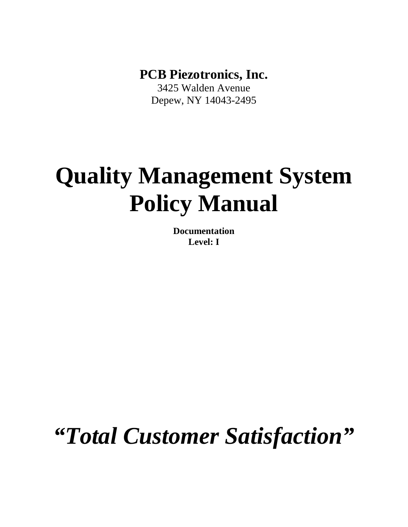**PCB Piezotronics, Inc.** 

3425 Walden Avenue Depew, NY 14043-2495

# **Quality Management System Policy Manual**

**Documentation Level: I** 

*"Total Customer Satisfaction"*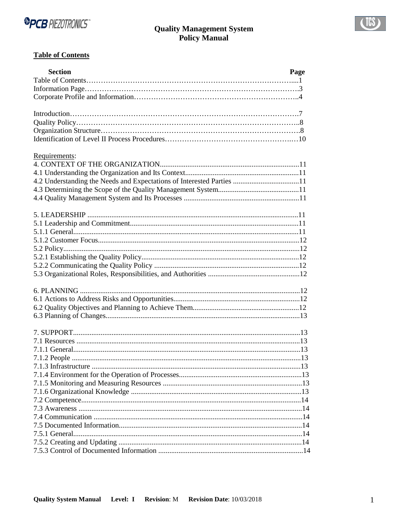



# **Table of Contents**

| <b>Section</b>                                                        | Page |
|-----------------------------------------------------------------------|------|
|                                                                       |      |
|                                                                       |      |
|                                                                       |      |
|                                                                       |      |
|                                                                       |      |
|                                                                       |      |
|                                                                       |      |
| Requirements:                                                         |      |
|                                                                       |      |
|                                                                       |      |
| 4.2 Understanding the Needs and Expectations of Interested Parties 11 |      |
|                                                                       |      |
|                                                                       |      |
|                                                                       |      |
|                                                                       |      |
|                                                                       |      |
|                                                                       |      |
|                                                                       |      |
|                                                                       |      |
|                                                                       |      |
|                                                                       |      |
|                                                                       |      |
|                                                                       |      |
|                                                                       |      |
|                                                                       |      |
|                                                                       |      |
|                                                                       |      |
|                                                                       |      |
|                                                                       |      |
|                                                                       |      |
|                                                                       |      |
|                                                                       |      |
|                                                                       |      |
|                                                                       |      |
|                                                                       |      |
|                                                                       |      |
|                                                                       |      |
|                                                                       |      |
|                                                                       |      |
|                                                                       | .14  |
|                                                                       |      |
|                                                                       |      |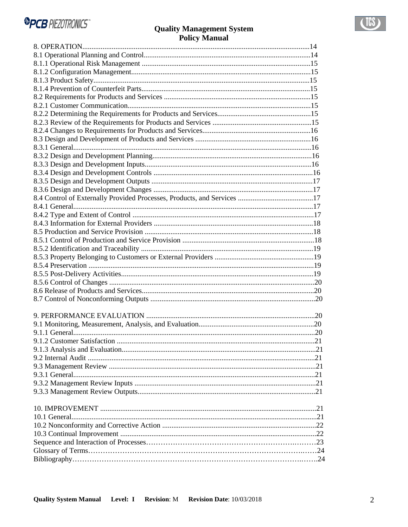| 9.1.2 Customer Satisfaction<br>2.1 |  |
|------------------------------------|--|
|                                    |  |
|                                    |  |
|                                    |  |
|                                    |  |
|                                    |  |
|                                    |  |
|                                    |  |
|                                    |  |
|                                    |  |
|                                    |  |
|                                    |  |
|                                    |  |
|                                    |  |
|                                    |  |
|                                    |  |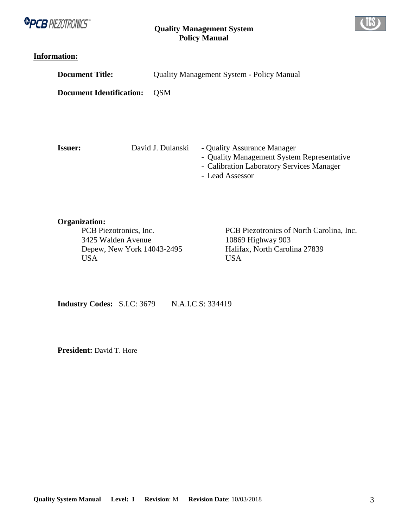



# **Information:**

| <b>Document Title:</b>          |                   | <b>Quality Management System - Policy Manual</b> |                                                                                             |  |                                            |
|---------------------------------|-------------------|--------------------------------------------------|---------------------------------------------------------------------------------------------|--|--------------------------------------------|
| <b>Document Identification:</b> | <b>OSM</b>        |                                                  |                                                                                             |  |                                            |
| <b>Issuer:</b>                  | David J. Dulanski |                                                  | - Quality Assurance Manager<br>- Calibration Laboratory Services Manager<br>- Lead Assessor |  | - Quality Management System Representative |

**Organization:**<br> **PCB Piezotronics, Inc.** 3425 Walden Avenue 10869 Highway 903<br>Depew, New York 14043-2495 Halifax, North Carolina 27839 Depew, New York 14043-2495 USA USA

PCB Piezotronics of North Carolina, Inc.

**Industry Codes:** S.I.C: 3679 N.A.I.C.S: 334419

President: David T. Hore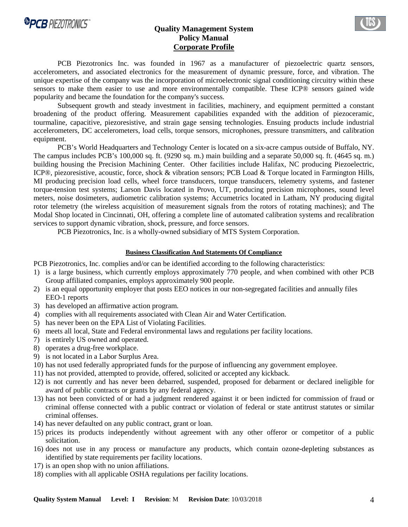

# **Quality Management System Policy Manual Corporate Profile**



PCB Piezotronics Inc. was founded in 1967 as a manufacturer of piezoelectric quartz sensors, accelerometers, and associated electronics for the measurement of dynamic pressure, force, and vibration. The unique expertise of the company was the incorporation of microelectronic signal conditioning circuitry within these sensors to make them easier to use and more environmentally compatible. These ICP® sensors gained wide popularity and became the foundation for the company's success.

 Subsequent growth and steady investment in facilities, machinery, and equipment permitted a constant broadening of the product offering. Measurement capabilities expanded with the addition of piezoceramic, tourmaline, capacitive, piezoresistive, and strain gage sensing technologies. Ensuing products include industrial accelerometers, DC accelerometers, load cells, torque sensors, microphones, pressure transmitters, and calibration equipment.

PCB's World Headquarters and Technology Center is located on a six-acre campus outside of Buffalo, NY. The campus includes PCB's 100,000 sq. ft. (9290 sq. m.) main building and a separate 50,000 sq. ft. (4645 sq. m.) building housing the Precision Machining Center. Other facilities include Halifax, NC producing Piezoelectric, ICP®, piezoresistive, acoustic, force, shock & vibration sensors; PCB Load & Torque located in Farmington Hills, MI producing precision load cells, wheel force transducers, torque transducers, telemetry systems, and fastener torque-tension test systems; Larson Davis located in Provo, UT, producing precision microphones, sound level meters, noise dosimeters, audiometric calibration systems; Accumetrics located in Latham, NY producing digital rotor telemetry (the wireless acquisition of measurement signals from the rotors of rotating machines); and The Modal Shop located in Cincinnati, OH, offering a complete line of automated calibration systems and recalibration services to support dynamic vibration, shock, pressure, and force sensors.

PCB Piezotronics, Inc. is a wholly-owned subsidiary of MTS System Corporation.

#### **Business Classification And Statements Of Compliance**

PCB Piezotronics, Inc. complies and/or can be identified according to the following characteristics:

- 1) is a large business, which currently employs approximately 770 people, and when combined with other PCB Group affiliated companies, employs approximately 900 people.
- 2) is an equal opportunity employer that posts EEO notices in our non-segregated facilities and annually files EEO-1 reports
- 3) has developed an affirmative action program.
- 4) complies with all requirements associated with Clean Air and Water Certification.
- 5) has never been on the EPA List of Violating Facilities.
- 6) meets all local, State and Federal environmental laws and regulations per facility locations.
- 7) is entirely US owned and operated.
- 8) operates a drug-free workplace.
- 9) is not located in a Labor Surplus Area.
- 10) has not used federally appropriated funds for the purpose of influencing any government employee.
- 11) has not provided, attempted to provide, offered, solicited or accepted any kickback.
- 12) is not currently and has never been debarred, suspended, proposed for debarment or declared ineligible for award of public contracts or grants by any federal agency.
- 13) has not been convicted of or had a judgment rendered against it or been indicted for commission of fraud or criminal offense connected with a public contract or violation of federal or state antitrust statutes or similar criminal offenses.
- 14) has never defaulted on any public contract, grant or loan.
- 15) prices its products independently without agreement with any other offeror or competitor of a public solicitation.
- 16) does not use in any process or manufacture any products, which contain ozone-depleting substances as identified by state requirements per facility locations.
- 17) is an open shop with no union affiliations.
- 18) complies with all applicable OSHA regulations per facility locations.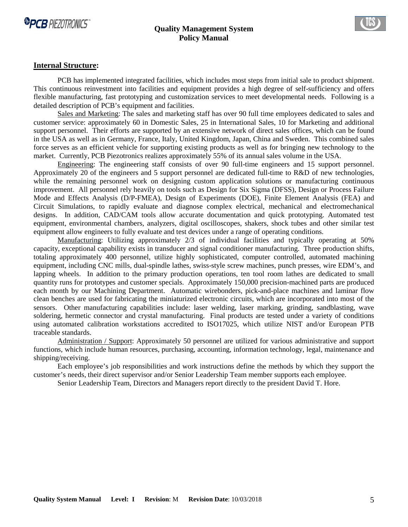



#### **Internal Structure:**

 PCB has implemented integrated facilities, which includes most steps from initial sale to product shipment. This continuous reinvestment into facilities and equipment provides a high degree of self-sufficiency and offers flexible manufacturing, fast prototyping and customization services to meet developmental needs. Following is a detailed description of PCB's equipment and facilities.

 Sales and Marketing: The sales and marketing staff has over 90 full time employees dedicated to sales and customer service: approximately 60 in Domestic Sales, 25 in International Sales, 10 for Marketing and additional support personnel. Their efforts are supported by an extensive network of direct sales offices, which can be found in the USA as well as in Germany, France, Italy, United Kingdom, Japan, China and Sweden. This combined sales force serves as an efficient vehicle for supporting existing products as well as for bringing new technology to the market. Currently, PCB Piezotronics realizes approximately 55% of its annual sales volume in the USA.

 Engineering: The engineering staff consists of over 90 full-time engineers and 15 support personnel. Approximately 20 of the engineers and 5 support personnel are dedicated full-time to R&D of new technologies, while the remaining personnel work on designing custom application solutions or manufacturing continuous improvement. All personnel rely heavily on tools such as Design for Six Sigma (DFSS), Design or Process Failure Mode and Effects Analysis (D/P-FMEA), Design of Experiments (DOE), Finite Element Analysis (FEA) and Circuit Simulations, to rapidly evaluate and diagnose complex electrical, mechanical and electromechanical designs. In addition, CAD/CAM tools allow accurate documentation and quick prototyping. Automated test equipment, environmental chambers, analyzers, digital oscilloscopes, shakers, shock tubes and other similar test equipment allow engineers to fully evaluate and test devices under a range of operating conditions.

 Manufacturing: Utilizing approximately 2/3 of individual facilities and typically operating at 50% capacity, exceptional capability exists in transducer and signal conditioner manufacturing. Three production shifts, totaling approximately 400 personnel, utilize highly sophisticated, computer controlled, automated machining equipment, including CNC mills, dual-spindle lathes, swiss-style screw machines, punch presses, wire EDM's, and lapping wheels. In addition to the primary production operations, ten tool room lathes are dedicated to small quantity runs for prototypes and customer specials. Approximately 150,000 precision-machined parts are produced each month by our Machining Department. Automatic wirebonders, pick-and-place machines and laminar flow clean benches are used for fabricating the miniaturized electronic circuits, which are incorporated into most of the sensors. Other manufacturing capabilities include: laser welding, laser marking, grinding, sandblasting, wave soldering, hermetic connector and crystal manufacturing. Final products are tested under a variety of conditions using automated calibration workstations accredited to ISO17025, which utilize NIST and/or European PTB traceable standards.

Administration / Support: Approximately 50 personnel are utilized for various administrative and support functions, which include human resources, purchasing, accounting, information technology, legal, maintenance and shipping/receiving.

Each employee's job responsibilities and work instructions define the methods by which they support the customer's needs, their direct supervisor and/or Senior Leadership Team member supports each employee.

Senior Leadership Team, Directors and Managers report directly to the president David T. Hore.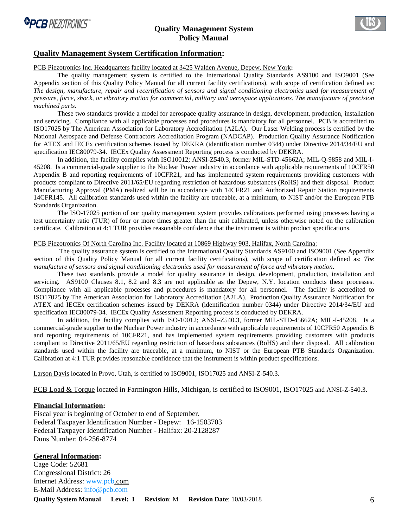



#### **Quality Management System Certification Information:**

PCB Piezotronics Inc. Headquarters facility located at 3425 Walden Avenue, Depew, New York**:**

The quality management system is certified to the International Quality Standards AS9100 and ISO9001 (See Appendix section of this Quality Policy Manual for all current facility certifications), with scope of certification defined as: *The design, manufacture, repair and recertification of sensors and signal conditioning electronics used for measurement of pressure, force, shock, or vibratory motion for commercial, military and aerospace applications. The manufacture of precision machined parts*.

These two standards provide a model for aerospace quality assurance in design, development, production, installation and servicing. Compliance with all applicable processes and procedures is mandatory for all personnel. PCB is accredited to ISO17025 by The American Association for Laboratory Accreditation (A2LA). Our Laser Welding process is certified by the National Aerospace and Defense Contractors Accreditation Program (NADCAP). Production Quality Assurance Notification for ATEX and IECEx certification schemes issued by DEKRA (identification number 0344) under Directive 2014/34/EU and specification IEC80079-34. IECEx Quality Assessment Reporting process is conducted by DEKRA.

In addition, the facility complies with ISO10012; ANSI-Z540.3, former MIL-STD-45662A; MIL-Q-9858 and MIL-I-45208. Is a commercial-grade supplier to the Nuclear Power industry in accordance with applicable requirements of 10CFR50 Appendix B and reporting requirements of 10CFR21, and has implemented system requirements providing customers with products compliant to Directive 2011/65/EU regarding restriction of hazardous substances (RoHS) and their disposal. Product Manufacturing Approval (PMA) realized will be in accordance with 14CFR21 and Authorized Repair Station requirements 14CFR145. All calibration standards used within the facility are traceable, at a minimum, to NIST and/or the European PTB Standards Organization.

The ISO-17025 portion of our quality management system provides calibrations performed using processes having a test uncertainty ratio (TUR) of four or more times greater than the unit calibrated, unless otherwise noted on the calibration certificate. Calibration at 4:1 TUR provides reasonable confidence that the instrument is within product specifications.

#### PCB Piezotronics Of North Carolina Inc. Facility located at 10869 Highway 903, Halifax, North Carolina:

 The quality assurance system is certified to the International Quality Standards AS9100 and ISO9001 (See Appendix section of this Quality Policy Manual for all current facility certifications), with scope of certification defined as: *The manufacture of sensors and signal conditioning electronics used for measurement of force and vibratory motion*.

These two standards provide a model for quality assurance in design, development, production, installation and servicing. AS9100 Clauses 8.1, 8.2 and 8.3 are not applicable as the Depew, N.Y. location conducts these processes. Compliance with all applicable processes and procedures is mandatory for all personnel. The facility is accredited to ISO17025 by The American Association for Laboratory Accreditation (A2LA). Production Quality Assurance Notification for ATEX and IECEx certification schemes issued by DEKRA (identification number 0344) under Directive 2014/34/EU and specification IEC80079-34. IECEx Quality Assessment Reporting process is conducted by DEKRA.

In addition, the facility complies with ISO-10012; ANSI–Z540.3, former MIL-STD-45662A; MIL-I-45208. Is a commercial-grade supplier to the Nuclear Power industry in accordance with applicable requirements of 10CFR50 Appendix B and reporting requirements of 10CFR21, and has implemented system requirements providing customers with products compliant to Directive 2011/65/EU regarding restriction of hazardous substances (RoHS) and their disposal. All calibration standards used within the facility are traceable, at a minimum, to NIST or the European PTB Standards Organization. Calibration at 4:1 TUR provides reasonable confidence that the instrument is within product specifications.

Larson Davis located in Provo, Utah, is certified to ISO9001, ISO17025 and ANSI-Z-540.3.

PCB Load & Torque located in Farmington Hills, Michigan, is certified to ISO9001, ISO17025 and ANSI-Z-540.3.

#### **Financial Information:**

Fiscal year is beginning of October to end of September. Federal Taxpayer Identification Number - Depew: 16-1503703 Federal Taxpayer Identification Number - Halifax: 20-2128287 Duns Number: 04-256-8774

#### **General Information:**

Cage Code: 52681 Congressional District: 26 Internet Address: www.pcb.com E-Mail Address: info@pcb.com

**Quality System Manual Level: I Revision**: M **Revision Date**: 10/03/2018 6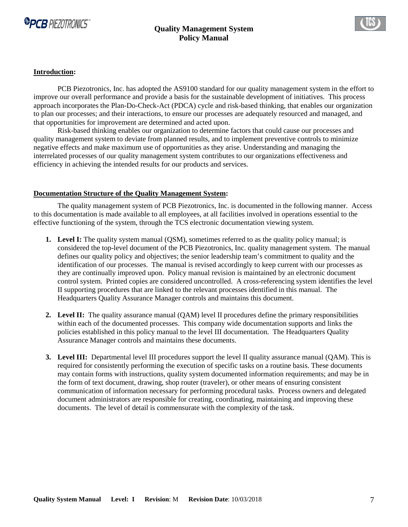



#### **Introduction:**

PCB Piezotronics, Inc. has adopted the AS9100 standard for our quality management system in the effort to improve our overall performance and provide a basis for the sustainable development of initiatives. This process approach incorporates the Plan-Do-Check-Act (PDCA) cycle and risk-based thinking, that enables our organization to plan our processes; and their interactions, to ensure our processes are adequately resourced and managed, and that opportunities for improvement are determined and acted upon.

Risk-based thinking enables our organization to determine factors that could cause our processes and quality management system to deviate from planned results, and to implement preventive controls to minimize negative effects and make maximum use of opportunities as they arise. Understanding and managing the interrelated processes of our quality management system contributes to our organizations effectiveness and efficiency in achieving the intended results for our products and services.

#### **Documentation Structure of the Quality Management System:**

 The quality management system of PCB Piezotronics, Inc. is documented in the following manner. Access to this documentation is made available to all employees, at all facilities involved in operations essential to the effective functioning of the system, through the TCS electronic documentation viewing system.

- **1.** Level I: The quality system manual (OSM), sometimes referred to as the quality policy manual; is considered the top-level document of the PCB Piezotronics, Inc. quality management system. The manual defines our quality policy and objectives; the senior leadership team's commitment to quality and the identification of our processes. The manual is revised accordingly to keep current with our processes as they are continually improved upon. Policy manual revision is maintained by an electronic document control system. Printed copies are considered uncontrolled. A cross-referencing system identifies the level II supporting procedures that are linked to the relevant processes identified in this manual. The Headquarters Quality Assurance Manager controls and maintains this document.
- **2. Level II:** The quality assurance manual (QAM) level II procedures define the primary responsibilities within each of the documented processes. This company wide documentation supports and links the policies established in this policy manual to the level III documentation. The Headquarters Quality Assurance Manager controls and maintains these documents.
- **3. Level III:** Departmental level III procedures support the level II quality assurance manual (QAM). This is required for consistently performing the execution of specific tasks on a routine basis. These documents may contain forms with instructions, quality system documented information requirements; and may be in the form of text document, drawing, shop router (traveler), or other means of ensuring consistent communication of information necessary for performing procedural tasks. Process owners and delegated document administrators are responsible for creating, coordinating, maintaining and improving these documents. The level of detail is commensurate with the complexity of the task.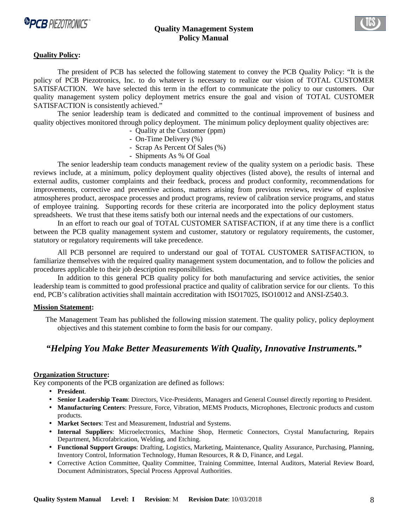



#### **Quality Policy:**

The president of PCB has selected the following statement to convey the PCB Quality Policy: "It is the policy of PCB Piezotronics, Inc. to do whatever is necessary to realize our vision of TOTAL CUSTOMER SATISFACTION. We have selected this term in the effort to communicate the policy to our customers. Our quality management system policy deployment metrics ensure the goal and vision of TOTAL CUSTOMER SATISFACTION is consistently achieved."

The senior leadership team is dedicated and committed to the continual improvement of business and quality objectives monitored through policy deployment. The minimum policy deployment quality objectives are:

- Quality at the Customer (ppm)
- On-Time Delivery (%)
- Scrap As Percent Of Sales (%)
- Shipments As % Of Goal

The senior leadership team conducts management review of the quality system on a periodic basis. These reviews include, at a minimum, policy deployment quality objectives (listed above), the results of internal and external audits, customer complaints and their feedback, process and product conformity, recommendations for improvements, corrective and preventive actions, matters arising from previous reviews, review of explosive atmospheres product, aerospace processes and product programs, review of calibration service programs, and status of employee training. Supporting records for these criteria are incorporated into the policy deployment status spreadsheets. We trust that these items satisfy both our internal needs and the expectations of our customers.

 In an effort to reach our goal of TOTAL CUSTOMER SATISFACTION, if at any time there is a conflict between the PCB quality management system and customer, statutory or regulatory requirements, the customer, statutory or regulatory requirements will take precedence.

 All PCB personnel are required to understand our goal of TOTAL CUSTOMER SATISFACTION, to familiarize themselves with the required quality management system documentation, and to follow the policies and procedures applicable to their job description responsibilities.

 In addition to this general PCB quality policy for both manufacturing and service activities, the senior leadership team is committed to good professional practice and quality of calibration service for our clients. To this end, PCB's calibration activities shall maintain accreditation with ISO17025, ISO10012 and ANSI-Z540.3.

#### **Mission Statement:**

 The Management Team has published the following mission statement. The quality policy, policy deployment objectives and this statement combine to form the basis for our company.

# *"Helping You Make Better Measurements With Quality, Innovative Instruments."*

#### **Organization Structure:**

Key components of the PCB organization are defined as follows:

- **President**.
- **Senior Leadership Team**: Directors, Vice-Presidents, Managers and General Counsel directly reporting to President.
- **Manufacturing Centers**: Pressure, Force, Vibration, MEMS Products, Microphones, Electronic products and custom products.
- **Market Sectors**: Test and Measurement, Industrial and Systems.
- **Internal Suppliers**: Microelectronics, Machine Shop, Hermetic Connectors, Crystal Manufacturing, Repairs Department, Microfabrication, Welding, and Etching.
- **Functional Support Groups**: Drafting, Logistics, Marketing, Maintenance, Quality Assurance, Purchasing, Planning, Inventory Control, Information Technology, Human Resources, R & D, Finance, and Legal.
- Corrective Action Committee, Quality Committee, Training Committee, Internal Auditors, Material Review Board, Document Administrators, Special Process Approval Authorities.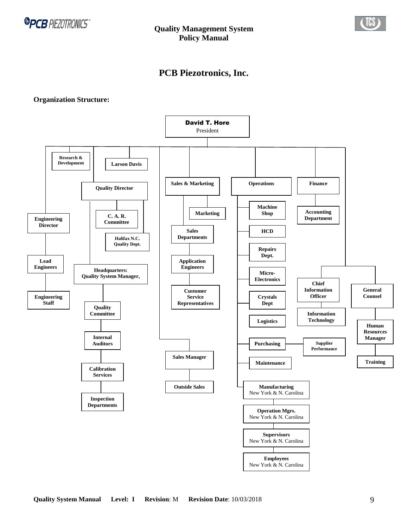

# **PCB Piezotronics, Inc.**

#### **Organization Structure:**

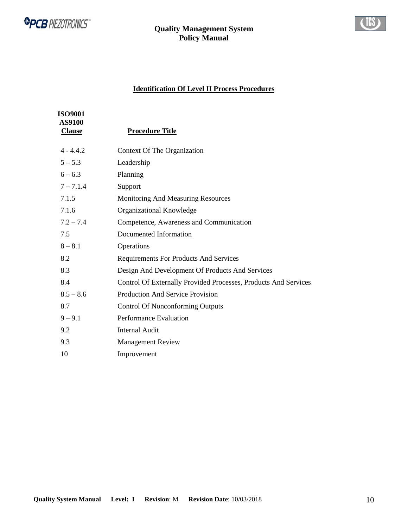



# **Identification Of Level II Process Procedures**

| <b>ISO9001</b><br><b>AS9100</b><br><b>Clause</b> | <b>Procedure Title</b>                                          |
|--------------------------------------------------|-----------------------------------------------------------------|
| $4 - 4.4.2$                                      | Context Of The Organization                                     |
| $5 - 5.3$                                        | Leadership                                                      |
| $6 - 6.3$                                        | Planning                                                        |
| $7 - 7.1.4$                                      | Support                                                         |
| 7.1.5                                            | Monitoring And Measuring Resources                              |
| 7.1.6                                            | Organizational Knowledge                                        |
| $7.2 - 7.4$                                      | Competence, Awareness and Communication                         |
| 7.5                                              | Documented Information                                          |
| $8 - 8.1$                                        | Operations                                                      |
| 8.2                                              | <b>Requirements For Products And Services</b>                   |
| 8.3                                              | Design And Development Of Products And Services                 |
| 8.4                                              | Control Of Externally Provided Processes, Products And Services |
| $8.5 - 8.6$                                      | <b>Production And Service Provision</b>                         |
| 8.7                                              | <b>Control Of Nonconforming Outputs</b>                         |
| $9 - 9.1$                                        | Performance Evaluation                                          |
| 9.2                                              | <b>Internal Audit</b>                                           |
| 9.3                                              | <b>Management Review</b>                                        |
| 10                                               | Improvement                                                     |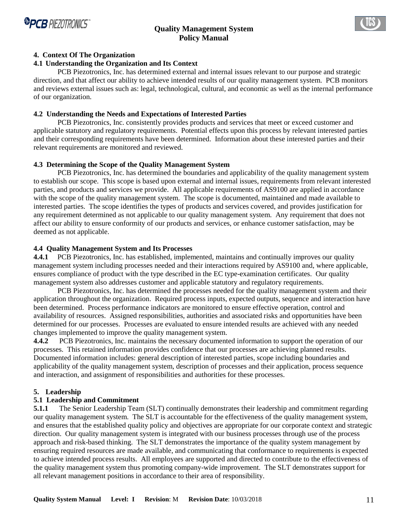



#### **4. Context Of The Organization**

#### **4.1 Understanding the Organization and Its Context**

PCB Piezotronics, Inc. has determined external and internal issues relevant to our purpose and strategic direction, and that affect our ability to achieve intended results of our quality management system. PCB monitors and reviews external issues such as: legal, technological, cultural, and economic as well as the internal performance of our organization.

#### **4.2 Understanding the Needs and Expectations of Interested Parties**

 PCB Piezotronics, Inc. consistently provides products and services that meet or exceed customer and applicable statutory and regulatory requirements. Potential effects upon this process by relevant interested parties and their corresponding requirements have been determined. Information about these interested parties and their relevant requirements are monitored and reviewed.

#### **4.3 Determining the Scope of the Quality Management System**

 PCB Piezotronics, Inc. has determined the boundaries and applicability of the quality management system to establish our scope. This scope is based upon external and internal issues, requirements from relevant interested parties, and products and services we provide. All applicable requirements of AS9100 are applied in accordance with the scope of the quality management system. The scope is documented, maintained and made available to interested parties. The scope identifies the types of products and services covered, and provides justification for any requirement determined as not applicable to our quality management system. Any requirement that does not affect our ability to ensure conformity of our products and services, or enhance customer satisfaction, may be deemed as not applicable.

#### **4.4 Quality Management System and Its Processes**

**4.4.1** PCB Piezotronics, Inc. has established, implemented, maintains and continually improves our quality management system including processes needed and their interactions required by AS9100 and, where applicable, ensures compliance of product with the type described in the EC type-examination certificates. Our quality management system also addresses customer and applicable statutory and regulatory requirements.

PCB Piezotronics, Inc. has determined the processes needed for the quality management system and their application throughout the organization. Required process inputs, expected outputs, sequence and interaction have been determined. Process performance indicators are monitored to ensure effective operation, control and availability of resources. Assigned responsibilities, authorities and associated risks and opportunities have been determined for our processes. Processes are evaluated to ensure intended results are achieved with any needed changes implemented to improve the quality management system.

**4.4.2** PCB Piezotronics, Inc. maintains the necessary documented information to support the operation of our processes. This retained information provides confidence that our processes are achieving planned results. Documented information includes: general description of interested parties, scope including boundaries and applicability of the quality management system, description of processes and their application, process sequence and interaction, and assignment of responsibilities and authorities for these processes.

#### **5. Leadership**

#### **5.1 Leadership and Commitment**

**5.1.1** The Senior Leadership Team (SLT) continually demonstrates their leadership and commitment regarding our quality management system. The SLT is accountable for the effectiveness of the quality management system, and ensures that the established quality policy and objectives are appropriate for our corporate context and strategic direction. Our quality management system is integrated with our business processes through use of the process approach and risk-based thinking. The SLT demonstrates the importance of the quality system management by ensuring required resources are made available, and communicating that conformance to requirements is expected to achieve intended process results. All employees are supported and directed to contribute to the effectiveness of the quality management system thus promoting company-wide improvement. The SLT demonstrates support for all relevant management positions in accordance to their area of responsibility.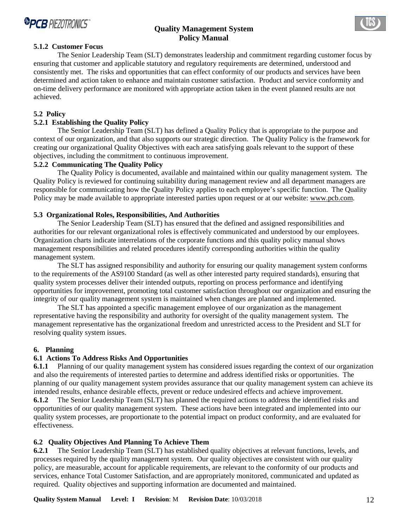



The Senior Leadership Team (SLT) demonstrates leadership and commitment regarding customer focus by ensuring that customer and applicable statutory and regulatory requirements are determined, understood and consistently met. The risks and opportunities that can effect conformity of our products and services have been determined and action taken to enhance and maintain customer satisfaction. Product and service conformity and on-time delivery performance are monitored with appropriate action taken in the event planned results are not achieved.

#### **5.2 Policy**

# **5.2.1 Establishing the Quality Policy**

The Senior Leadership Team (SLT) has defined a Quality Policy that is appropriate to the purpose and context of our organization, and that also supports our strategic direction. The Quality Policy is the framework for creating our organizational Quality Objectives with each area satisfying goals relevant to the support of these objectives, including the commitment to continuous improvement.

# **5.2.2 Communicating The Quality Policy**

The Quality Policy is documented, available and maintained within our quality management system. The Quality Policy is reviewed for continuing suitability during management review and all department managers are responsible for communicating how the Quality Policy applies to each employee's specific function. The Quality Policy may be made available to appropriate interested parties upon request or at our website: www.pcb.com.

#### **5.3 Organizational Roles, Responsibilities, And Authorities**

 The Senior Leadership Team (SLT) has ensured that the defined and assigned responsibilities and authorities for our relevant organizational roles is effectively communicated and understood by our employees. Organization charts indicate interrelations of the corporate functions and this quality policy manual shows management responsibilities and related procedures identify corresponding authorities within the quality management system.

The SLT has assigned responsibility and authority for ensuring our quality management system conforms to the requirements of the AS9100 Standard (as well as other interested party required standards), ensuring that quality system processes deliver their intended outputs, reporting on process performance and identifying opportunities for improvement, promoting total customer satisfaction throughout our organization and ensuring the integrity of our quality management system is maintained when changes are planned and implemented.

The SLT has appointed a specific management employee of our organization as the management representative having the responsibility and authority for oversight of the quality management system. The management representative has the organizational freedom and unrestricted access to the President and SLT for resolving quality system issues.

#### **6. Planning**

#### **6.1 Actions To Address Risks And Opportunities**

**6.1.1** Planning of our quality management system has considered issues regarding the context of our organization and also the requirements of interested parties to determine and address identified risks or opportunities. The planning of our quality management system provides assurance that our quality management system can achieve its intended results, enhance desirable effects, prevent or reduce undesired effects and achieve improvement. **6.1.2** The Senior Leadership Team (SLT) has planned the required actions to address the identified risks and opportunities of our quality management system. These actions have been integrated and implemented into our quality system processes, are proportionate to the potential impact on product conformity, and are evaluated for effectiveness.

#### **6.2 Quality Objectives And Planning To Achieve Them**

**6.2.1** The Senior Leadership Team (SLT) has established quality objectives at relevant functions, levels, and processes required by the quality management system. Our quality objectives are consistent with our quality policy, are measurable, account for applicable requirements, are relevant to the conformity of our products and services, enhance Total Customer Satisfaction, and are appropriately monitored, communicated and updated as required. Quality objectives and supporting information are documented and maintained.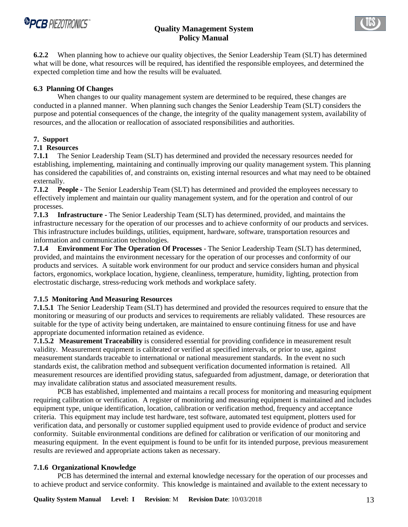



**6.2.2** When planning how to achieve our quality objectives, the Senior Leadership Team (SLT) has determined what will be done, what resources will be required, has identified the responsible employees, and determined the expected completion time and how the results will be evaluated.

### **6.3 Planning Of Changes**

 When changes to our quality management system are determined to be required, these changes are conducted in a planned manner. When planning such changes the Senior Leadership Team (SLT) considers the purpose and potential consequences of the change, the integrity of the quality management system, availability of resources, and the allocation or reallocation of associated responsibilities and authorities.

# **7. Support**

# **7.1 Resources**

**7.1.1** The Senior Leadership Team (SLT) has determined and provided the necessary resources needed for establishing, implementing, maintaining and continually improving our quality management system. This planning has considered the capabilities of, and constraints on, existing internal resources and what may need to be obtained externally.

**7.1.2 People -** The Senior Leadership Team (SLT) has determined and provided the employees necessary to effectively implement and maintain our quality management system, and for the operation and control of our processes.

**7.1.3 Infrastructure -** The Senior Leadership Team (SLT) has determined, provided, and maintains the infrastructure necessary for the operation of our processes and to achieve conformity of our products and services. This infrastructure includes buildings, utilities, equipment, hardware, software, transportation resources and information and communication technologies.

**7.1.4 Environment For The Operation Of Processes** - The Senior Leadership Team (SLT) has determined, provided, and maintains the environment necessary for the operation of our processes and conformity of our products and services. A suitable work environment for our product and service considers human and physical factors, ergonomics, workplace location, hygiene, cleanliness, temperature, humidity, lighting, protection from electrostatic discharge, stress-reducing work methods and workplace safety.

# **7.1.5 Monitoring And Measuring Resources**

**7.1.5.1** The Senior Leadership Team (SLT) has determined and provided the resources required to ensure that the monitoring or measuring of our products and services to requirements are reliably validated. These resources are suitable for the type of activity being undertaken, are maintained to ensure continuing fitness for use and have appropriate documented information retained as evidence.

**7.1.5.2 Measurement Traceability** is considered essential for providing confidence in measurement result validity. Measurement equipment is calibrated or verified at specified intervals, or prior to use, against measurement standards traceable to international or national measurement standards. In the event no such standards exist, the calibration method and subsequent verification documented information is retained. All measurement resources are identified providing status, safeguarded from adjustment, damage, or deterioration that may invalidate calibration status and associated measurement results.

 PCB has established, implemented and maintains a recall process for monitoring and measuring equipment requiring calibration or verification. A register of monitoring and measuring equipment is maintained and includes equipment type, unique identification, location, calibration or verification method, frequency and acceptance criteria. This equipment may include test hardware, test software, automated test equipment, plotters used for verification data, and personally or customer supplied equipment used to provide evidence of product and service conformity. Suitable environmental conditions are defined for calibration or verification of our monitoring and measuring equipment. In the event equipment is found to be unfit for its intended purpose, previous measurement results are reviewed and appropriate actions taken as necessary.

#### **7.1.6 Organizational Knowledge**

 PCB has determined the internal and external knowledge necessary for the operation of our processes and to achieve product and service conformity. This knowledge is maintained and available to the extent necessary to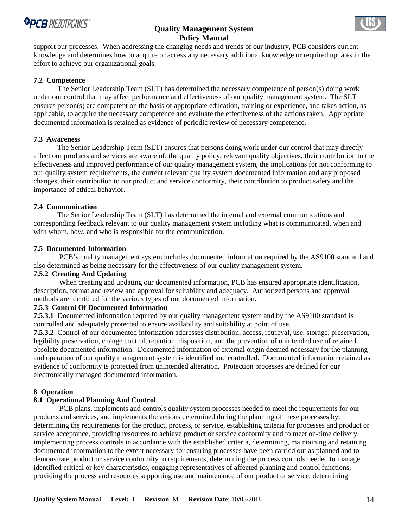

support our processes. When addressing the changing needs and trends of our industry, PCB considers current knowledge and determines how to acquire or access any necessary additional knowledge or required updates in the effort to achieve our organizational goals.

### **7.2 Competence**

 The Senior Leadership Team (SLT) has determined the necessary competence of person(s) doing work under our control that may affect performance and effectiveness of our quality management system. The SLT ensures person(s) are competent on the basis of appropriate education, training or experience, and takes action, as applicable, to acquire the necessary competence and evaluate the effectiveness of the actions taken. Appropriate documented information is retained as evidence of periodic review of necessary competence.

# **7.3 Awareness**

 The Senior Leadership Team (SLT) ensures that persons doing work under our control that may directly affect our products and services are aware of: the quality policy, relevant quality objectives, their contribution to the effectiveness and improved performance of our quality management system, the implications for not conforming to our quality system requirements, the current relevant quality system documented information and any proposed changes, their contribution to our product and service conformity, their contribution to product safety and the importance of ethical behavior.

#### **7.4 Communication**

 The Senior Leadership Team (SLT) has determined the internal and external communications and corresponding feedback relevant to our quality management system including what is communicated, when and with whom, how, and who is responsible for the communication.

#### **7.5 Documented Information**

 PCB's quality management system includes documented information required by the AS9100 standard and also determined as being necessary for the effectiveness of our quality management system.

# **7.5.2 Creating And Updating**

 When creating and updating our documented information, PCB has ensured appropriate identification, description, format and review and approval for suitability and adequacy. Authorized persons and approval methods are identified for the various types of our documented information.

# **7.5.3 Control Of Documented Information**

**7.5.3.1** Documented information required by our quality management system and by the AS9100 standard is controlled and adequately protected to ensure availability and suitability at point of use.

**7.5.3.2** Control of our documented information addresses distribution, access, retrieval, use, storage, preservation, legibility preservation, change control, retention, disposition, and the prevention of unintended use of retained obsolete documented information. Documented information of external origin deemed necessary for the planning and operation of our quality management system is identified and controlled. Documented information retained as evidence of conformity is protected from unintended alteration. Protection processes are defined for our electronically managed documented information.

#### **8 Operation**

# **8.1 Operational Planning And Control**

 PCB plans, implements and controls quality system processes needed to meet the requirements for our products and services, and implements the actions determined during the planning of these processes by: determining the requirements for the product, process, or service, establishing criteria for processes and product or service acceptance, providing resources to achieve product or service conformity and to meet on-time delivery, implementing process controls in accordance with the established criteria, determining, maintaining and retaining documented information to the extent necessary for ensuring processes have been carried out as planned and to demonstrate product or service conformity to requirements, determining the process controls needed to manage identified critical or key characteristics, engaging representatives of affected planning and control functions, providing the process and resources supporting use and maintenance of our product or service, determining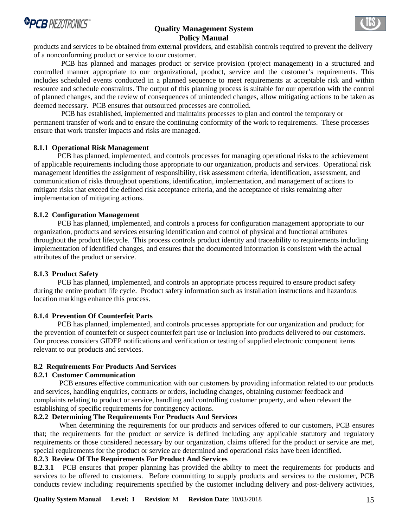

products and services to be obtained from external providers, and establish controls required to prevent the delivery of a nonconforming product or service to our customer.

 PCB has planned and manages product or service provision (project management) in a structured and controlled manner appropriate to our organizational, product, service and the customer's requirements. This includes scheduled events conducted in a planned sequence to meet requirements at acceptable risk and within resource and schedule constraints. The output of this planning process is suitable for our operation with the control of planned changes, and the review of consequences of unintended changes, allow mitigating actions to be taken as deemed necessary. PCB ensures that outsourced processes are controlled.

 PCB has established, implemented and maintains processes to plan and control the temporary or permanent transfer of work and to ensure the continuing conformity of the work to requirements. These processes ensure that work transfer impacts and risks are managed.

#### **8.1.1 Operational Risk Management**

 PCB has planned, implemented, and controls processes for managing operational risks to the achievement of applicable requirements including those appropriate to our organization, products and services. Operational risk management identifies the assignment of responsibility, risk assessment criteria, identification, assessment, and communication of risks throughout operations, identification, implementation, and management of actions to mitigate risks that exceed the defined risk acceptance criteria, and the acceptance of risks remaining after implementation of mitigating actions.

#### **8.1.2 Configuration Management**

 PCB has planned, implemented, and controls a process for configuration management appropriate to our organization, products and services ensuring identification and control of physical and functional attributes throughout the product lifecycle. This process controls product identity and traceability to requirements including implementation of identified changes, and ensures that the documented information is consistent with the actual attributes of the product or service.

#### **8.1.3 Product Safety**

 PCB has planned, implemented, and controls an appropriate process required to ensure product safety during the entire product life cycle. Product safety information such as installation instructions and hazardous location markings enhance this process.

#### **8.1.4 Prevention Of Counterfeit Parts**

 PCB has planned, implemented, and controls processes appropriate for our organization and product; for the prevention of counterfeit or suspect counterfeit part use or inclusion into products delivered to our customers. Our process considers GIDEP notifications and verification or testing of supplied electronic component items relevant to our products and services.

#### **8.2 Requirements For Products And Services**

#### **8.2.1 Customer Communication**

 PCB ensures effective communication with our customers by providing information related to our products and services, handling enquiries, contracts or orders, including changes, obtaining customer feedback and complaints relating to product or service, handling and controlling customer property, and when relevant the establishing of specific requirements for contingency actions.

#### **8.2.2 Determining The Requirements For Products And Services**

 When determining the requirements for our products and services offered to our customers, PCB ensures that; the requirements for the product or service is defined including any applicable statutory and regulatory requirements or those considered necessary by our organization, claims offered for the product or service are met, special requirements for the product or service are determined and operational risks have been identified.

#### **8.2.3 Review Of The Requirements For Product And Services**

**8.2.3.1** PCB ensures that proper planning has provided the ability to meet the requirements for products and services to be offered to customers. Before committing to supply products and services to the customer, PCB conducts review including: requirements specified by the customer including delivery and post-delivery activities,

**Quality System Manual Level: I Revision**: M **Revision Date**: 10/03/2018 15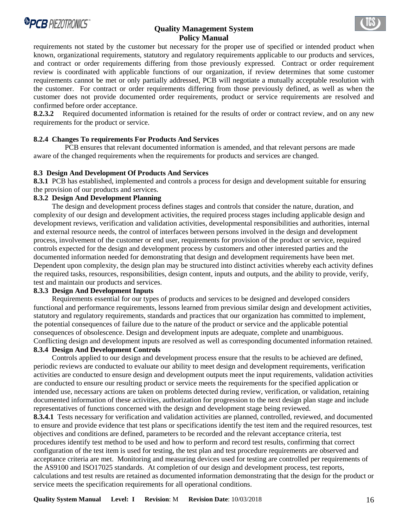

requirements not stated by the customer but necessary for the proper use of specified or intended product when known, organizational requirements, statutory and regulatory requirements applicable to our products and services, and contract or order requirements differing from those previously expressed. Contract or order requirement review is coordinated with applicable functions of our organization, if review determines that some customer requirements cannot be met or only partially addressed, PCB will negotiate a mutually acceptable resolution with the customer. For contract or order requirements differing from those previously defined, as well as when the customer does not provide documented order requirements, product or service requirements are resolved and confirmed before order acceptance.

**8.2.3.2** Required documented information is retained for the results of order or contract review, and on any new requirements for the product or service.

#### **8.2.4 Changes To requirements For Products And Services**

 PCB ensures that relevant documented information is amended, and that relevant persons are made aware of the changed requirements when the requirements for products and services are changed.

#### **8.3 Design And Development Of Products And Services**

**8.3.1** PCB has established, implemented and controls a process for design and development suitable for ensuring the provision of our products and services.

#### **8.3.2 Design And Development Planning**

 The design and development process defines stages and controls that consider the nature, duration, and complexity of our design and development activities, the required process stages including applicable design and development reviews, verification and validation activities, developmental responsibilities and authorities, internal and external resource needs, the control of interfaces between persons involved in the design and development process, involvement of the customer or end user, requirements for provision of the product or service, required controls expected for the design and development process by customers and other interested parties and the documented information needed for demonstrating that design and development requirements have been met. Dependent upon complexity, the design plan may be structured into distinct activities whereby each activity defines the required tasks, resources, responsibilities, design content, inputs and outputs, and the ability to provide, verify, test and maintain our products and services.

#### **8.3.3 Design And Development Inputs**

 Requirements essential for our types of products and services to be designed and developed considers functional and performance requirements, lessons learned from previous similar design and development activities, statutory and regulatory requirements, standards and practices that our organization has committed to implement, the potential consequences of failure due to the nature of the product or service and the applicable potential consequences of obsolescence. Design and development inputs are adequate, complete and unambiguous. Conflicting design and development inputs are resolved as well as corresponding documented information retained.

#### **8.3.4 Design And Development Controls**

 Controls applied to our design and development process ensure that the results to be achieved are defined, periodic reviews are conducted to evaluate our ability to meet design and development requirements, verification activities are conducted to ensure design and development outputs meet the input requirements, validation activities are conducted to ensure our resulting product or service meets the requirements for the specified application or intended use, necessary actions are taken on problems detected during review, verification, or validation, retaining documented information of these activities, authorization for progression to the next design plan stage and include representatives of functions concerned with the design and development stage being reviewed.

**8.3.4.1** Tests necessary for verification and validation activities are planned, controlled, reviewed, and documented to ensure and provide evidence that test plans or specifications identify the test item and the required resources, test objectives and conditions are defined, parameters to be recorded and the relevant acceptance criteria, test procedures identify test method to be used and how to perform and record test results, confirming that correct configuration of the test item is used for testing, the test plan and test procedure requirements are observed and acceptance criteria are met. Monitoring and measuring devices used for testing are controlled per requirements of the AS9100 and ISO17025 standards. At completion of our design and development process, test reports, calculations and test results are retained as documented information demonstrating that the design for the product or service meets the specification requirements for all operational conditions.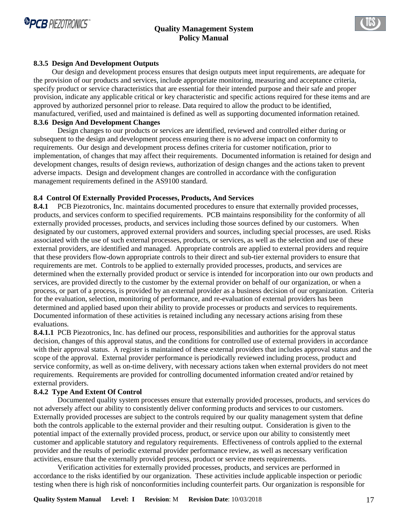



#### **8.3.5 Design And Development Outputs**

 Our design and development process ensures that design outputs meet input requirements, are adequate for the provision of our products and services, include appropriate monitoring, measuring and acceptance criteria, specify product or service characteristics that are essential for their intended purpose and their safe and proper provision, indicate any applicable critical or key characteristic and specific actions required for these items and are approved by authorized personnel prior to release. Data required to allow the product to be identified, manufactured, verified, used and maintained is defined as well as supporting documented information retained. **8.3.6 Design And Development Changes**

 Design changes to our products or services are identified, reviewed and controlled either during or subsequent to the design and development process ensuring there is no adverse impact on conformity to requirements. Our design and development process defines criteria for customer notification, prior to implementation, of changes that may affect their requirements. Documented information is retained for design and development changes, results of design reviews, authorization of design changes and the actions taken to prevent adverse impacts. Design and development changes are controlled in accordance with the configuration management requirements defined in the AS9100 standard.

#### **8.4 Control Of Externally Provided Processes, Products, And Services**

**8.4.1** PCB Piezotronics, Inc. maintains documented procedures to ensure that externally provided processes, products, and services conform to specified requirements. PCB maintains responsibility for the conformity of all externally provided processes, products, and services including those sources defined by our customers. When designated by our customers, approved external providers and sources, including special processes, are used. Risks associated with the use of such external processes, products, or services, as well as the selection and use of these external providers, are identified and managed. Appropriate controls are applied to external providers and require that these providers flow-down appropriate controls to their direct and sub-tier external providers to ensure that requirements are met. Controls to be applied to externally provided processes, products, and services are determined when the externally provided product or service is intended for incorporation into our own products and services, are provided directly to the customer by the external provider on behalf of our organization, or when a process, or part of a process, is provided by an external provider as a business decision of our organization. Criteria for the evaluation, selection, monitoring of performance, and re-evaluation of external providers has been determined and applied based upon their ability to provide processes or products and services to requirements. Documented information of these activities is retained including any necessary actions arising from these evaluations.

**8.4.1.1** PCB Piezotronics, Inc. has defined our process, responsibilities and authorities for the approval status decision, changes of this approval status, and the conditions for controlled use of external providers in accordance with their approval status. A register is maintained of these external providers that includes approval status and the scope of the approval. External provider performance is periodically reviewed including process, product and service conformity, as well as on-time delivery, with necessary actions taken when external providers do not meet requirements. Requirements are provided for controlling documented information created and/or retained by external providers.

#### **8.4.2 Type And Extent Of Control**

 Documented quality system processes ensure that externally provided processes, products, and services do not adversely affect our ability to consistently deliver conforming products and services to our customers. Externally provided processes are subject to the controls required by our quality management system that define both the controls applicable to the external provider and their resulting output. Consideration is given to the potential impact of the externally provided process, product, or service upon our ability to consistently meet customer and applicable statutory and regulatory requirements. Effectiveness of controls applied to the external provider and the results of periodic external provider performance review, as well as necessary verification activities, ensure that the externally provided process, product or service meets requirements.

 Verification activities for externally provided processes, products, and services are performed in accordance to the risks identified by our organization. These activities include applicable inspection or periodic testing when there is high risk of nonconformities including counterfeit parts. Our organization is responsible for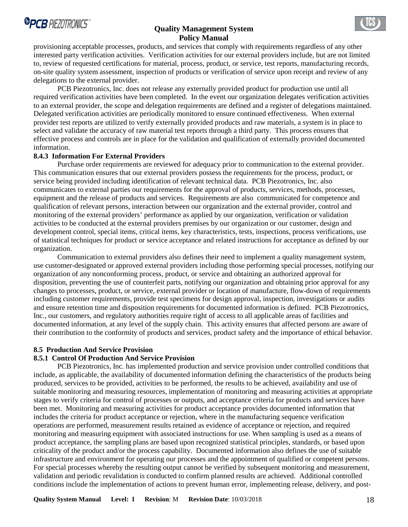

provisioning acceptable processes, products, and services that comply with requirements regardless of any other interested party verification activities. Verification activities for our external providers include, but are not limited to, review of requested certifications for material, process, product, or service, test reports, manufacturing records, on-site quality system assessment, inspection of products or verification of service upon receipt and review of any delegations to the external provider.

 PCB Piezotronics, Inc. does not release any externally provided product for production use until all required verification activities have been completed. In the event our organization delegates verification activities to an external provider, the scope and delegation requirements are defined and a register of delegations maintained. Delegated verification activities are periodically monitored to ensure continued effectiveness. When external provider test reports are utilized to verify externally provided products and raw materials, a system is in place to select and validate the accuracy of raw material test reports through a third party. This process ensures that effective process and controls are in place for the validation and qualification of externally provided documented information.

#### **8.4.3 Information For External Providers**

 Purchase order requirements are reviewed for adequacy prior to communication to the external provider. This communication ensures that our external providers possess the requirements for the process, product, or service being provided including identification of relevant technical data. PCB Piezotronics, Inc. also communicates to external parties our requirements for the approval of products, services, methods, processes, equipment and the release of products and services. Requirements are also communicated for competence and qualification of relevant persons, interaction between our organization and the external provider, control and monitoring of the external providers' performance as applied by our organization, verification or validation activities to be conducted at the external providers premises by our organization or our customer, design and development control, special items, critical items, key characteristics, tests, inspections, process verifications, use of statistical techniques for product or service acceptance and related instructions for acceptance as defined by our organization.

 Communication to external providers also defines their need to implement a quality management system, use customer-designated or approved external providers including those performing special processes, notifying our organization of any nonconforming process, product, or service and obtaining an authorized approval for disposition, preventing the use of counterfeit parts, notifying our organization and obtaining prior approval for any changes to processes, product, or service, external provider or location of manufacture, flow-down of requirements including customer requirements, provide test specimens for design approval, inspection, investigations or audits and ensure retention time and disposition requirements for documented information is defined. PCB Piezotronics, Inc., our customers, and regulatory authorities require right of access to all applicable areas of facilities and documented information, at any level of the supply chain. This activity ensures that affected persons are aware of their contribution to the conformity of products and services, product safety and the importance of ethical behavior.

#### **8.5 Production And Service Provision**

#### **8.5.1 Control Of Production And Service Provision**

 PCB Piezotronics, Inc. has implemented production and service provision under controlled conditions that include, as applicable, the availability of documented information defining the characteristics of the products being produced, services to be provided, activities to be performed, the results to be achieved, availability and use of suitable monitoring and measuring resources, implementation of monitoring and measuring activities at appropriate stages to verify criteria for control of processes or outputs, and acceptance criteria for products and services have been met. Monitoring and measuring activities for product acceptance provides documented information that includes the criteria for product acceptance or rejection, where in the manufacturing sequence verification operations are performed, measurement results retained as evidence of acceptance or rejection, and required monitoring and measuring equipment with associated instructions for use. When sampling is used as a means of product acceptance, the sampling plans are based upon recognized statistical principles, standards, or based upon criticality of the product and/or the process capability. Documented information also defines the use of suitable infrastructure and environment for operating our processes and the appointment of qualified or competent persons. For special processes whereby the resulting output cannot be verified by subsequent monitoring and measurement, validation and periodic revalidation is conducted to confirm planned results are achieved. Additional controlled conditions include the implementation of actions to prevent human error, implementing release, delivery, and post-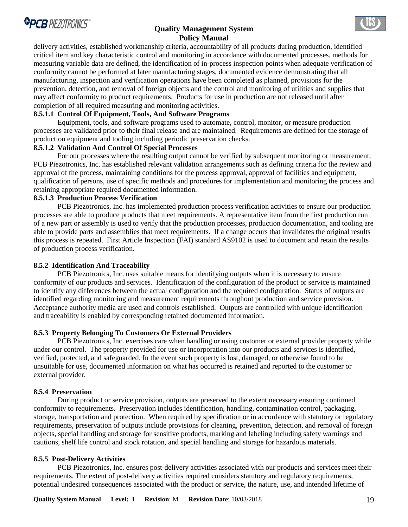

delivery activities, established workmanship criteria, accountability of all products during production, identified critical item and key characteristic control and monitoring in accordance with documented processes, methods for measuring variable data are defined, the identification of in-process inspection points when adequate verification of conformity cannot be performed at later manufacturing stages, documented evidence demonstrating that all manufacturing, inspection and verification operations have been completed as planned, provisions for the prevention, detection, and removal of foreign objects and the control and monitoring of utilities and supplies that may affect conformity to product requirements. Products for use in production are not released until after completion of all required measuring and monitoring activities.

# **8.5.1.1 Control Of Equipment, Tools, And Software Programs**

 Equipment, tools, and software programs used to automate, control, monitor, or measure production processes are validated prior to their final release and are maintained. Requirements are defined for the storage of production equipment and tooling including periodic preservation checks.

### **8.5.1.2 Validation And Control Of Special Processes**

 For our processes where the resulting output cannot be verified by subsequent monitoring or measurement, PCB Piezotronics, Inc. has established relevant validation arrangements such as defining criteria for the review and approval of the process, maintaining conditions for the process approval, approval of facilities and equipment, qualification of persons, use of specific methods and procedures for implementation and monitoring the process and retaining appropriate required documented information.

#### **8.5.1.3 Production Process Verification**

 PCB Piezotronics, Inc. has implemented production process verification activities to ensure our production processes are able to produce products that meet requirements. A representative item from the first production run of a new part or assembly is used to verify that the production processes, production documentation, and tooling are able to provide parts and assemblies that meet requirements. If a change occurs that invalidates the original results this process is repeated. First Article Inspection (FAI) standard AS9102 is used to document and retain the results of production process verification.

#### **8.5.2 Identification And Traceability**

 PCB Piezotronics, Inc. uses suitable means for identifying outputs when it is necessary to ensure conformity of our products and services. Identification of the configuration of the product or service is maintained to identify any differences between the actual configuration and the required configuration. Status of outputs are identified regarding monitoring and measurement requirements throughout production and service provision. Acceptance authority media are used and controls established. Outputs are controlled with unique identification and traceability is enabled by corresponding retained documented information.

#### **8.5.3 Property Belonging To Customers Or External Providers**

 PCB Piezotronics, Inc. exercises care when handling or using customer or external provider property while under our control. The property provided for use or incorporation into our products and services is identified, verified, protected, and safeguarded. In the event such property is lost, damaged, or otherwise found to be unsuitable for use, documented information on what has occurred is retained and reported to the customer or external provider.

#### **8.5.4 Preservation**

 During product or service provision, outputs are preserved to the extent necessary ensuring continued conformity to requirements. Preservation includes identification, handling, contamination control, packaging, storage, transportation and protection. When required by specification or in accordance with statutory or regulatory requirements, preservation of outputs include provisions for cleaning, prevention, detection, and removal of foreign objects, special handling and storage for sensitive products, marking and labeling including safety warnings and cautions, shelf life control and stock rotation, and special handling and storage for hazardous materials.

#### **8.5.5 Post-Delivery Activities**

 PCB Piezotronics, Inc. ensures post-delivery activities associated with our products and services meet their requirements. The extent of post-delivery activities required considers statutory and regulatory requirements, potential undesired consequences associated with the product or service, the nature, use, and intended lifetime of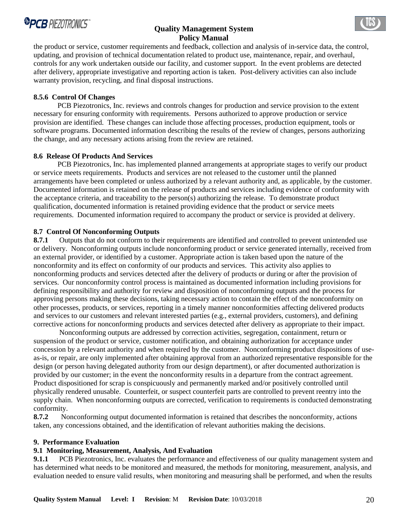

the product or service, customer requirements and feedback, collection and analysis of in-service data, the control, updating, and provision of technical documentation related to product use, maintenance, repair, and overhaul, controls for any work undertaken outside our facility, and customer support. In the event problems are detected after delivery, appropriate investigative and reporting action is taken. Post-delivery activities can also include warranty provision, recycling, and final disposal instructions.

# **8.5.6 Control Of Changes**

 PCB Piezotronics, Inc. reviews and controls changes for production and service provision to the extent necessary for ensuring conformity with requirements. Persons authorized to approve production or service provision are identified. These changes can include those affecting processes, production equipment, tools or software programs. Documented information describing the results of the review of changes, persons authorizing the change, and any necessary actions arising from the review are retained.

#### **8.6 Release Of Products And Services**

 PCB Piezotronics, Inc. has implemented planned arrangements at appropriate stages to verify our product or service meets requirements. Products and services are not released to the customer until the planned arrangements have been completed or unless authorized by a relevant authority and, as applicable, by the customer. Documented information is retained on the release of products and services including evidence of conformity with the acceptance criteria, and traceability to the person(s) authorizing the release. To demonstrate product qualification, documented information is retained providing evidence that the product or service meets requirements. Documented information required to accompany the product or service is provided at delivery.

#### **8.7 Control Of Nonconforming Outputs**

**8.7.1** Outputs that do not conform to their requirements are identified and controlled to prevent unintended use or delivery. Nonconforming outputs include nonconforming product or service generated internally, received from an external provider, or identified by a customer. Appropriate action is taken based upon the nature of the nonconformity and its effect on conformity of our products and services. This activity also applies to nonconforming products and services detected after the delivery of products or during or after the provision of services. Our nonconformity control process is maintained as documented information including provisions for defining responsibility and authority for review and disposition of nonconforming outputs and the process for approving persons making these decisions, taking necessary action to contain the effect of the nonconformity on other processes, products, or services, reporting in a timely manner nonconformities affecting delivered products and services to our customers and relevant interested parties (e.g., external providers, customers), and defining corrective actions for nonconforming products and services detected after delivery as appropriate to their impact.

 Nonconforming outputs are addressed by correction activities, segregation, containment, return or suspension of the product or service, customer notification, and obtaining authorization for acceptance under concession by a relevant authority and when required by the customer. Nonconforming product dispositions of useas-is, or repair, are only implemented after obtaining approval from an authorized representative responsible for the design (or person having delegated authority from our design department), or after documented authorization is provided by our customer; in the event the nonconformity results in a departure from the contract agreement. Product dispositioned for scrap is conspicuously and permanently marked and/or positively controlled until physically rendered unusable. Counterfeit, or suspect counterfeit parts are controlled to prevent reentry into the supply chain. When nonconforming outputs are corrected, verification to requirements is conducted demonstrating conformity.

**8.7.2** Nonconforming output documented information is retained that describes the nonconformity, actions taken, any concessions obtained, and the identification of relevant authorities making the decisions.

#### **9. Performance Evaluation**

#### **9.1 Monitoring, Measurement, Analysis, And Evaluation**

**9.1.1** PCB Piezotronics, Inc. evaluates the performance and effectiveness of our quality management system and has determined what needs to be monitored and measured, the methods for monitoring, measurement, analysis, and evaluation needed to ensure valid results, when monitoring and measuring shall be performed, and when the results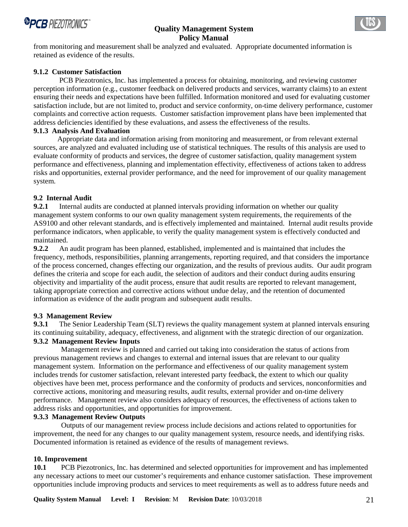

from monitoring and measurement shall be analyzed and evaluated. Appropriate documented information is retained as evidence of the results.

# **9.1.2 Customer Satisfaction**

 PCB Piezotronics, Inc. has implemented a process for obtaining, monitoring, and reviewing customer perception information (e.g., customer feedback on delivered products and services, warranty claims) to an extent ensuring their needs and expectations have been fulfilled. Information monitored and used for evaluating customer satisfaction include, but are not limited to, product and service conformity, on-time delivery performance, customer complaints and corrective action requests. Customer satisfaction improvement plans have been implemented that address deficiencies identified by these evaluations, and assess the effectiveness of the results.

### **9.1.3 Analysis And Evaluation**

 Appropriate data and information arising from monitoring and measurement, or from relevant external sources, are analyzed and evaluated including use of statistical techniques. The results of this analysis are used to evaluate conformity of products and services, the degree of customer satisfaction, quality management system performance and effectiveness, planning and implementation effectivity, effectiveness of actions taken to address risks and opportunities, external provider performance, and the need for improvement of our quality management system.

# **9.2 Internal Audit**

**9.2.1** Internal audits are conducted at planned intervals providing information on whether our quality management system conforms to our own quality management system requirements, the requirements of the AS9100 and other relevant standards, and is effectively implemented and maintained. Internal audit results provide performance indicators, when applicable, to verify the quality management system is effectively conducted and maintained.

**9.2.2** An audit program has been planned, established, implemented and is maintained that includes the frequency, methods, responsibilities, planning arrangements, reporting required, and that considers the importance of the process concerned, changes effecting our organization, and the results of previous audits. Our audit program defines the criteria and scope for each audit, the selection of auditors and their conduct during audits ensuring objectivity and impartiality of the audit process, ensure that audit results are reported to relevant management, taking appropriate correction and corrective actions without undue delay, and the retention of documented information as evidence of the audit program and subsequent audit results.

#### **9.3 Management Review**

**9.3.1** The Senior Leadership Team (SLT) reviews the quality management system at planned intervals ensuring its continuing suitability, adequacy, effectiveness, and alignment with the strategic direction of our organization. **9.3.2 Management Review Inputs** 

 Management review is planned and carried out taking into consideration the status of actions from previous management reviews and changes to external and internal issues that are relevant to our quality management system. Information on the performance and effectiveness of our quality management system includes trends for customer satisfaction, relevant interested party feedback, the extent to which our quality objectives have been met, process performance and the conformity of products and services, nonconformities and corrective actions, monitoring and measuring results, audit results, external provider and on-time delivery performance. Management review also considers adequacy of resources, the effectiveness of actions taken to address risks and opportunities, and opportunities for improvement.

#### **9.3.3 Management Review Outputs**

 Outputs of our management review process include decisions and actions related to opportunities for improvement, the need for any changes to our quality management system, resource needs, and identifying risks. Documented information is retained as evidence of the results of management reviews.

#### **10. Improvement**

**10.1** PCB Piezotronics, Inc. has determined and selected opportunities for improvement and has implemented any necessary actions to meet our customer's requirements and enhance customer satisfaction. These improvement opportunities include improving products and services to meet requirements as well as to address future needs and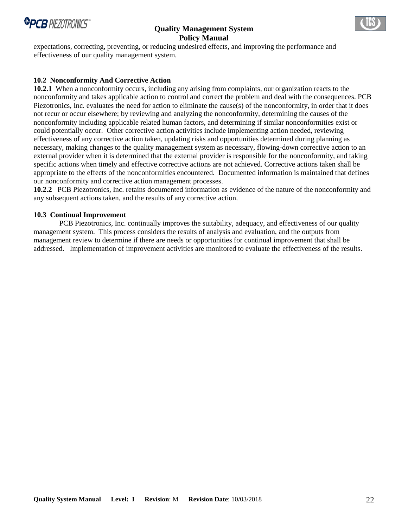

expectations, correcting, preventing, or reducing undesired effects, and improving the performance and effectiveness of our quality management system.

# **10.2 Nonconformity And Corrective Action**

**10.2.1** When a nonconformity occurs, including any arising from complaints, our organization reacts to the nonconformity and takes applicable action to control and correct the problem and deal with the consequences. PCB Piezotronics, Inc. evaluates the need for action to eliminate the cause(s) of the nonconformity, in order that it does not recur or occur elsewhere; by reviewing and analyzing the nonconformity, determining the causes of the nonconformity including applicable related human factors, and determining if similar nonconformities exist or could potentially occur. Other corrective action activities include implementing action needed, reviewing effectiveness of any corrective action taken, updating risks and opportunities determined during planning as necessary, making changes to the quality management system as necessary, flowing-down corrective action to an external provider when it is determined that the external provider is responsible for the nonconformity, and taking specific actions when timely and effective corrective actions are not achieved. Corrective actions taken shall be appropriate to the effects of the nonconformities encountered. Documented information is maintained that defines our nonconformity and corrective action management processes.

**10.2.2** PCB Piezotronics, Inc. retains documented information as evidence of the nature of the nonconformity and any subsequent actions taken, and the results of any corrective action.

#### **10.3 Continual Improvement**

 PCB Piezotronics, Inc. continually improves the suitability, adequacy, and effectiveness of our quality management system. This process considers the results of analysis and evaluation, and the outputs from management review to determine if there are needs or opportunities for continual improvement that shall be addressed. Implementation of improvement activities are monitored to evaluate the effectiveness of the results.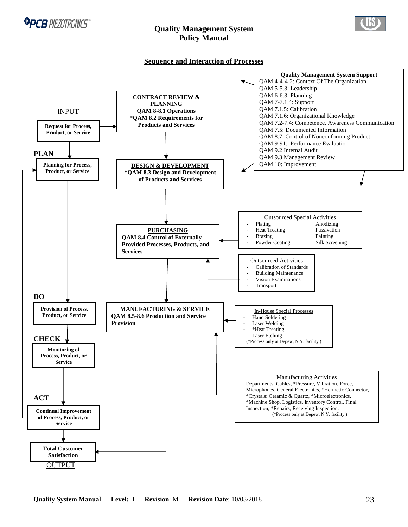



#### **Sequence and Interaction of Processes**